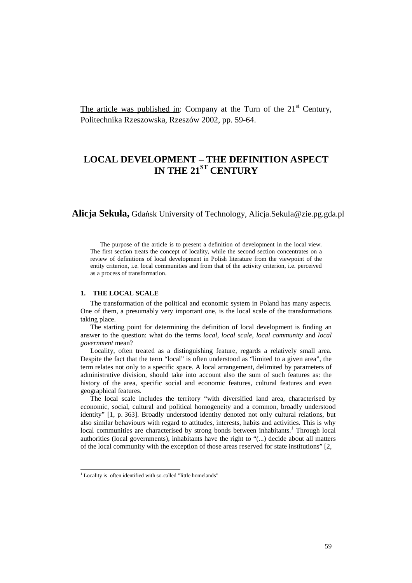The article was published in: Company at the Turn of the  $21<sup>st</sup>$  Century, Politechnika Rzeszowska, Rzeszów 2002, pp. 59-64.

# **LOCAL DEVELOPMENT – THE DEFINITION ASPECT IN THE 21ST CENTURY**

**Alicja Sekuła,** Gdańsk University of Technology, Alicja.Sekula@zie.pg.gda.pl

The purpose of the article is to present a definition of development in the local view. The first section treats the concept of locality, while the second section concentrates on a review of definitions of local development in Polish literature from the viewpoint of the entity criterion, i.e. local communities and from that of the activity criterion, i.e. perceived as a process of transformation.

#### **1. THE LOCAL SCALE**

The transformation of the political and economic system in Poland has many aspects. One of them, a presumably very important one, is the local scale of the transformations taking place.

The starting point for determining the definition of local development is finding an answer to the question: what do the terms *local*, *local scale*, *local community* and *local government* mean?

Locality, often treated as a distinguishing feature, regards a relatively small area. Despite the fact that the term "local" is often understood as "limited to a given area", the term relates not only to a specific space. A local arrangement, delimited by parameters of administrative division, should take into account also the sum of such features as: the history of the area, specific social and economic features, cultural features and even geographical features.

The local scale includes the territory "with diversified land area, characterised by economic, social, cultural and political homogeneity and a common, broadly understood identity" [1, p. 363]. Broadly understood identity denoted not only cultural relations, but also similar behaviours with regard to attitudes, interests, habits and activities. This is why local communities are characterised by strong bonds between inhabitants.<sup>1</sup> Through local authorities (local governments), inhabitants have the right to "(...) decide about all matters of the local community with the exception of those areas reserved for state institutions" [2,

 $\overline{a}$ 

<sup>&</sup>lt;sup>1</sup> Locality is often identified with so-called "little homelands"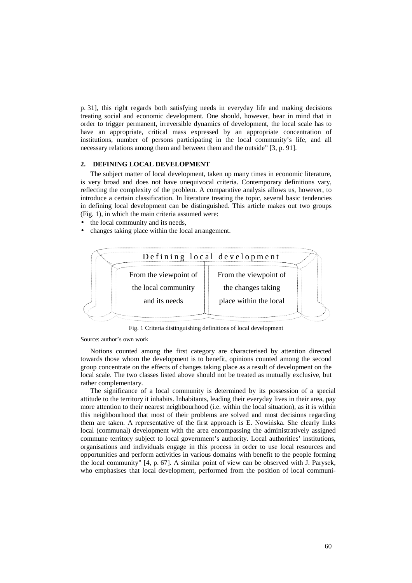p. 31], this right regards both satisfying needs in everyday life and making decisions treating social and economic development. One should, however, bear in mind that in order to trigger permanent, irreversible dynamics of development, the local scale has to have an appropriate, critical mass expressed by an appropriate concentration of institutions, number of persons participating in the local community's life, and all necessary relations among them and between them and the outside" [3, p. 91].

### **2. DEFINING LOCAL DEVELOPMENT**

The subject matter of local development, taken up many times in economic literature, is very broad and does not have unequivocal criteria. Contemporary definitions vary, reflecting the complexity of the problem. A comparative analysis allows us, however, to introduce a certain classification. In literature treating the topic, several basic tendencies in defining local development can be distinguished. This article makes out two groups (Fig. 1), in which the main criteria assumed were:

- the local community and its needs,
- changes taking place within the local arrangement.



Fig. 1 Criteria distinguishing definitions of local development

#### Source: author's own work

Notions counted among the first category are characterised by attention directed towards those whom the development is to benefit, opinions counted among the second group concentrate on the effects of changes taking place as a result of development on the local scale. The two classes listed above should not be treated as mutually exclusive, but rather complementary.

The significance of a local community is determined by its possession of a special attitude to the territory it inhabits. Inhabitants, leading their everyday lives in their area, pay more attention to their nearest neighbourhood (i.e. within the local situation), as it is within this neighbourhood that most of their problems are solved and most decisions regarding them are taken. A representative of the first approach is E. Nowińska. She clearly links local (communal) development with the area encompassing the administratively assigned commune territory subject to local government's authority. Local authorities' institutions, organisations and individuals engage in this process in order to use local resources and opportunities and perform activities in various domains with benefit to the people forming the local community" [4, p. 67]. A similar point of view can be observed with J. Parysek, who emphasises that local development, performed from the position of local communi-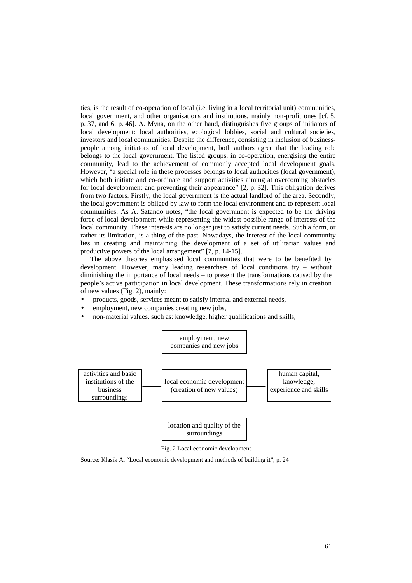ties, is the result of co-operation of local (i.e. living in a local territorial unit) communities, local government, and other organisations and institutions, mainly non-profit ones [cf. 5, p. 37, and 6, p. 46]. A. Myna, on the other hand, distinguishes five groups of initiators of local development: local authorities, ecological lobbies, social and cultural societies, investors and local communities. Despite the difference, consisting in inclusion of businesspeople among initiators of local development, both authors agree that the leading role belongs to the local government. The listed groups, in co-operation, energising the entire community, lead to the achievement of commonly accepted local development goals. However, "a special role in these processes belongs to local authorities (local government), which both initiate and co-ordinate and support activities aiming at overcoming obstacles for local development and preventing their appearance" [2, p. 32]. This obligation derives from two factors. Firstly, the local government is the actual landlord of the area. Secondly, the local government is obliged by law to form the local environment and to represent local communities. As A. Sztando notes, "the local government is expected to be the driving force of local development while representing the widest possible range of interests of the local community. These interests are no longer just to satisfy current needs. Such a form, or rather its limitation, is a thing of the past. Nowadays, the interest of the local community lies in creating and maintaining the development of a set of utilitarian values and productive powers of the local arrangement" [7, p. 14-15].

The above theories emphasised local communities that were to be benefited by development. However, many leading researchers of local conditions try – without diminishing the importance of local needs – to present the transformations caused by the people's active participation in local development. These transformations rely in creation of new values (Fig. 2), mainly:

- products, goods, services meant to satisfy internal and external needs,
- employment, new companies creating new jobs,
- non-material values, such as: knowledge, higher qualifications and skills,



Fig. 2 Local economic development

Source: Klasik A. "Local economic development and methods of building it", p. 24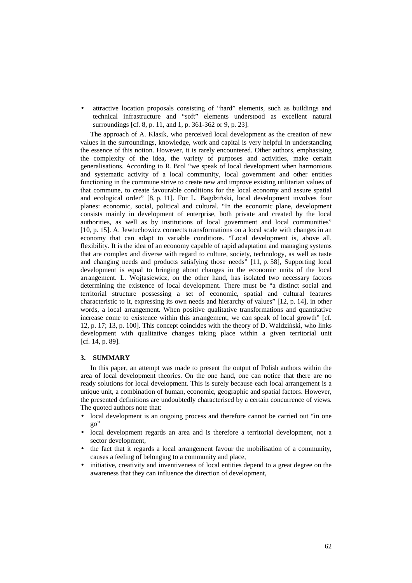• attractive location proposals consisting of "hard" elements, such as buildings and technical infrastructure and "soft" elements understood as excellent natural surroundings [cf. 8, p. 11, and 1, p. 361-362 or 9, p. 23].

The approach of A. Klasik, who perceived local development as the creation of new values in the surroundings, knowledge, work and capital is very helpful in understanding the essence of this notion. However, it is rarely encountered. Other authors, emphasising the complexity of the idea, the variety of purposes and activities, make certain generalisations. According to R. Brol "we speak of local development when harmonious and systematic activity of a local community, local government and other entities functioning in the commune strive to create new and improve existing utilitarian values of that commune, to create favourable conditions for the local economy and assure spatial and ecological order" [8, p. 11]. For L. Bagdziński, local development involves four planes: economic, social, political and cultural. "In the economic plane, development consists mainly in development of enterprise, both private and created by the local authorities, as well as by institutions of local government and local communities" [10, p. 15]. A. Jewtuchowicz connects transformations on a local scale with changes in an economy that can adapt to variable conditions. "Local development is, above all, flexibility. It is the idea of an economy capable of rapid adaptation and managing systems that are complex and diverse with regard to culture, society, technology, as well as taste and changing needs and products satisfying those needs" [11, p. 58], Supporting local development is equal to bringing about changes in the economic units of the local arrangement. L. Wojtasiewicz, on the other hand, has isolated two necessary factors determining the existence of local development. There must be "a distinct social and territorial structure possessing a set of economic, spatial and cultural features characteristic to it, expressing its own needs and hierarchy of values" [12, p. 14], in other words, a local arrangement. When positive qualitative transformations and quantitative increase come to existence within this arrangement, we can speak of local growth" [cf. 12, p. 17; 13, p. 100]. This concept coincides with the theory of D. Waldziński, who links development with qualitative changes taking place within a given territorial unit [cf. 14, p. 89].

## **3. SUMMARY**

In this paper, an attempt was made to present the output of Polish authors within the area of local development theories. On the one hand, one can notice that there are no ready solutions for local development. This is surely because each local arrangement is a unique unit, a combination of human, economic, geographic and spatial factors. However, the presented definitions are undoubtedly characterised by a certain concurrence of views. The quoted authors note that:

- local development is an ongoing process and therefore cannot be carried out "in one go"
- local development regards an area and is therefore a territorial development, not a sector development,
- the fact that it regards a local arrangement favour the mobilisation of a community, causes a feeling of belonging to a community and place,
- initiative, creativity and inventiveness of local entities depend to a great degree on the awareness that they can influence the direction of development,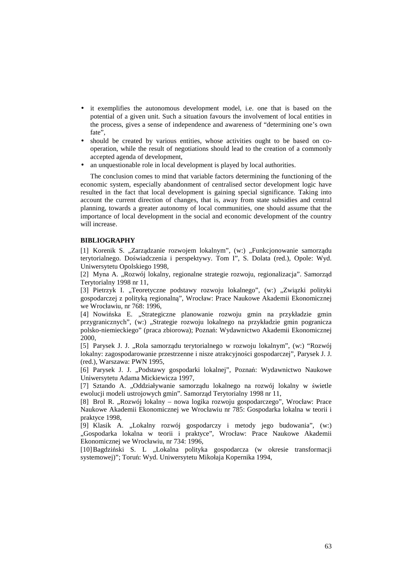- it exemplifies the autonomous development model, i.e. one that is based on the potential of a given unit. Such a situation favours the involvement of local entities in the process, gives a sense of independence and awareness of "determining one's own fate",
- should be created by various entities, whose activities ought to be based on cooperation, while the result of negotiations should lead to the creation of a commonly accepted agenda of development,
- an unquestionable role in local development is played by local authorities.

The conclusion comes to mind that variable factors determining the functioning of the economic system, especially abandonment of centralised sector development logic have resulted in the fact that local development is gaining special significance. Taking into account the current direction of changes, that is, away from state subsidies and central planning, towards a greater autonomy of local communities, one should assume that the importance of local development in the social and economic development of the country will increase.

# **BIBLIOGRAPHY**

[1] Korenik S. "Zarządzanie rozwojem lokalnym", (w:) "Funkcjonowanie samorządu terytorialnego. Doświadczenia i perspektywy. Tom I", S. Dolata (red.), Opole: Wyd. Uniwersytetu Opolskiego 1998,

[2] Myna A. "Rozwój lokalny, regionalne strategie rozwoju, regionalizacja". Samorząd Terytorialny 1998 nr 11,

[3] Pietrzyk I. "Teoretyczne podstawy rozwoju lokalnego", (w:) "Związki polityki gospodarczej z polityką regionalną", Wrocław: Prace Naukowe Akademii Ekonomicznej we Wrocławiu, nr 768: 1996,

[4] Nowińska E. "Strategiczne planowanie rozwoju gmin na przykładzie gmin przygranicznych", (w:) "Strategie rozwoju lokalnego na przykładzie gmin pogranicza polsko-niemieckiego" (praca zbiorowa); Poznań: Wydawnictwo Akademii Ekonomicznej 2000,

[5] Parysek J. J. "Rola samorządu terytorialnego w rozwoju lokalnym", (w:) "Rozwój lokalny: zagospodarowanie przestrzenne i nisze atrakcyjności gospodarczej", Parysek J. J. (red.), Warszawa: PWN 1995,

[6] Parysek J. J. "Podstawy gospodarki lokalnej", Poznań: Wydawnictwo Naukowe Uniwersytetu Adama Mickiewicza 1997,

[7] Sztando A. "Oddziaływanie samorządu lokalnego na rozwój lokalny w świetle ewolucji modeli ustrojowych gmin". Samorząd Terytorialny 1998 nr 11,

[8] Brol R. "Rozwój lokalny – nowa logika rozwoju gospodarczego", Wrocław: Prace Naukowe Akademii Ekonomicznej we Wrocławiu nr 785: Gospodarka lokalna w teorii i praktyce 1998,

[9] Klasik A. "Lokalny rozwój gospodarczy i metody jego budowania", (w:) "Gospodarka lokalna w teorii i praktyce", Wrocław: Prace Naukowe Akademii Ekonomicznej we Wrocławiu, nr 734: 1996,

[10]Bagdziński S. L "Lokalna polityka gospodarcza (w okresie transformacji systemowej)"; Toruń: Wyd. Uniwersytetu Mikołaja Kopernika 1994,